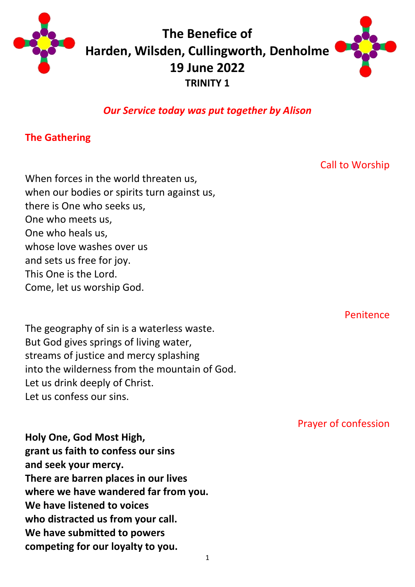

# **The Benefice of Harden, Wilsden, Cullingworth, Denholme 19 June 2022 TRINITY 1**

*Our Service today was put together by Alison*

#### **The Gathering**

When forces in the world threaten us, when our bodies or spirits turn against us, there is One who seeks us, One who meets us, One who heals us, whose love washes over us and sets us free for joy. This One is the Lord. Come, let us worship God.

The geography of sin is a waterless waste. But God gives springs of living water, streams of justice and mercy splashing into the wilderness from the mountain of God. Let us drink deeply of Christ. Let us confess our sins.

**Holy One, God Most High, grant us faith to confess our sins and seek your mercy. There are barren places in our lives where we have wandered far from you. We have listened to voices who distracted us from your call. We have submitted to powers competing for our loyalty to you.**

Call to Worship

Penitence

Prayer of confession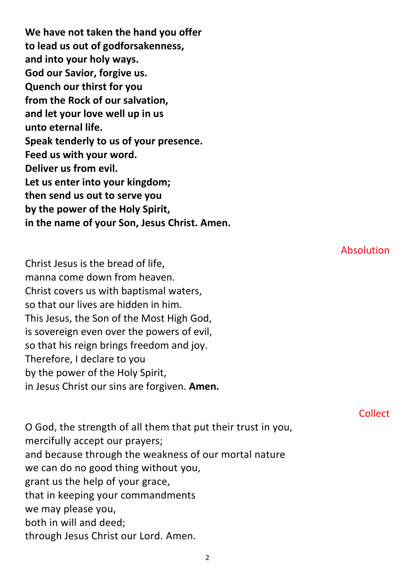**We have not taken the hand you offer to lead us out of godforsakenness, and into your holy ways. God our Savior, forgive us. Quench our thirst for you from the Rock of our salvation, and let your love well up in us unto eternal life. Speak tenderly to us of your presence. Feed us with your word. Deliver us from evil. Let us enter into your kingdom; then send us out to serve you by the power of the Holy Spirit, in the name of your Son, Jesus Christ. Amen.**

Christ Jesus is the bread of life, manna come down from heaven. Christ covers us with baptismal waters, so that our lives are hidden in him. This Jesus, the Son of the Most High God, is sovereign even over the powers of evil, so that his reign brings freedom and joy. Therefore, I declare to you by the power of the Holy Spirit, in Jesus Christ our sins are forgiven. **Amen.**

O God, the strength of all them that put their trust in you, mercifully accept our prayers; and because through the weakness of our mortal nature we can do no good thing without you, grant us the help of your grace, that in keeping your commandments we may please you, both in will and deed; through Jesus Christ our Lord. Amen.

#### Absolution

Collect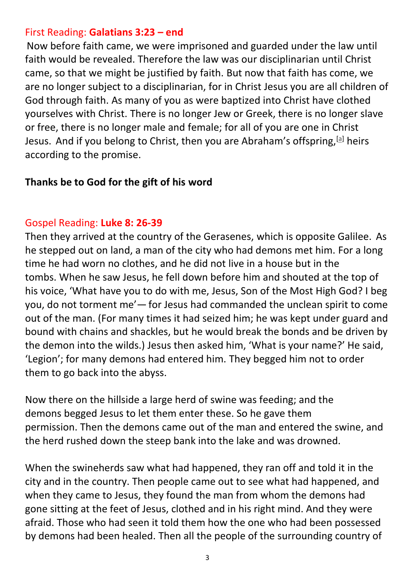#### First Reading: **Galatians 3:23 – end**

Now before faith came, we were imprisoned and guarded under the law until faith would be revealed. Therefore the law was our disciplinarian until Christ came, so that we might be justified by faith. But now that faith has come, we are no longer subject to a disciplinarian, for in Christ Jesus you are all children of God through faith. As many of you as were baptized into Christ have clothed yourselves with Christ. There is no longer Jew or Greek, there is no longer slave or free, there is no longer male and female; for all of you are one in Christ Jesus. And if you belong to Christ, then you are Abraham's offspring, <sup>[\[a\]](https://www.biblegateway.com/passage/?search=Galatians+3%3A+23-29&version=NRSVA#fen-NRSVA-29115a)</sup> heirs according to the promise.

# **Thanks be to God for the gift of his word**

# Gospel Reading: **Luke 8: 26-39**

Then they arrived at the country of the Gerasenes, which is opposite Galilee. As he stepped out on land, a man of the city who had demons met him. For a long time he had worn no clothes, and he did not live in a house but in the tombs. When he saw Jesus, he fell down before him and shouted at the top of his voice, 'What have you to do with me, Jesus, Son of the Most High God? I beg you, do not torment me'—for Jesus had commanded the unclean spirit to come out of the man. (For many times it had seized him; he was kept under guard and bound with chains and shackles, but he would break the bonds and be driven by the demon into the wilds.) Jesus then asked him, 'What is your name?' He said, 'Legion'; for many demons had entered him. They begged him not to order them to go back into the abyss.

Now there on the hillside a large herd of swine was feeding; and the demons begged Jesus to let them enter these. So he gave them permission. Then the demons came out of the man and entered the swine, and the herd rushed down the steep bank into the lake and was drowned.

When the swineherds saw what had happened, they ran off and told it in the city and in the country. Then people came out to see what had happened, and when they came to Jesus, they found the man from whom the demons had gone sitting at the feet of Jesus, clothed and in his right mind. And they were afraid. Those who had seen it told them how the one who had been possessed by demons had been healed. Then all the people of the surrounding country of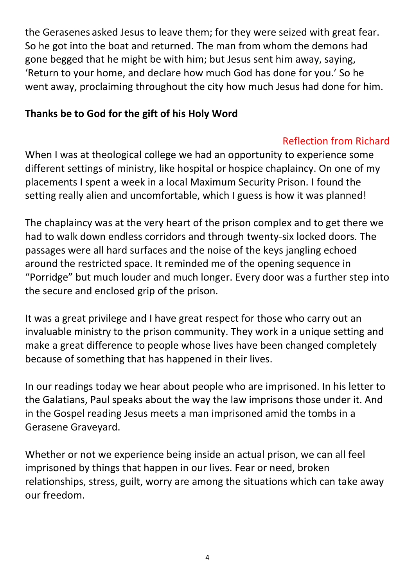the Gerasenes asked Jesus to leave them; for they were seized with great fear. So he got into the boat and returned. The man from whom the demons had gone begged that he might be with him; but Jesus sent him away, saying, 'Return to your home, and declare how much God has done for you.' So he went away, proclaiming throughout the city how much Jesus had done for him.

# **Thanks be to God for the gift of his Holy Word**

# Reflection from Richard

When I was at theological college we had an opportunity to experience some different settings of ministry, like hospital or hospice chaplaincy. On one of my placements I spent a week in a local Maximum Security Prison. I found the setting really alien and uncomfortable, which I guess is how it was planned!

The chaplaincy was at the very heart of the prison complex and to get there we had to walk down endless corridors and through twenty-six locked doors. The passages were all hard surfaces and the noise of the keys jangling echoed around the restricted space. It reminded me of the opening sequence in "Porridge" but much louder and much longer. Every door was a further step into the secure and enclosed grip of the prison.

It was a great privilege and I have great respect for those who carry out an invaluable ministry to the prison community. They work in a unique setting and make a great difference to people whose lives have been changed completely because of something that has happened in their lives.

In our readings today we hear about people who are imprisoned. In his letter to the Galatians, Paul speaks about the way the law imprisons those under it. And in the Gospel reading Jesus meets a man imprisoned amid the tombs in a Gerasene Graveyard.

Whether or not we experience being inside an actual prison, we can all feel imprisoned by things that happen in our lives. Fear or need, broken relationships, stress, guilt, worry are among the situations which can take away our freedom.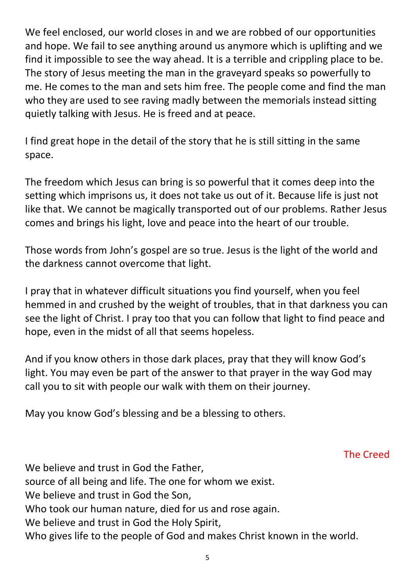We feel enclosed, our world closes in and we are robbed of our opportunities and hope. We fail to see anything around us anymore which is uplifting and we find it impossible to see the way ahead. It is a terrible and crippling place to be. The story of Jesus meeting the man in the graveyard speaks so powerfully to me. He comes to the man and sets him free. The people come and find the man who they are used to see raving madly between the memorials instead sitting quietly talking with Jesus. He is freed and at peace.

I find great hope in the detail of the story that he is still sitting in the same space.

The freedom which Jesus can bring is so powerful that it comes deep into the setting which imprisons us, it does not take us out of it. Because life is just not like that. We cannot be magically transported out of our problems. Rather Jesus comes and brings his light, love and peace into the heart of our trouble.

Those words from John's gospel are so true. Jesus is the light of the world and the darkness cannot overcome that light.

I pray that in whatever difficult situations you find yourself, when you feel hemmed in and crushed by the weight of troubles, that in that darkness you can see the light of Christ. I pray too that you can follow that light to find peace and hope, even in the midst of all that seems hopeless.

And if you know others in those dark places, pray that they will know God's light. You may even be part of the answer to that prayer in the way God may call you to sit with people our walk with them on their journey.

May you know God's blessing and be a blessing to others.

The Creed

We believe and trust in God the Father, source of all being and life. The one for whom we exist. We believe and trust in God the Son. Who took our human nature, died for us and rose again. We believe and trust in God the Holy Spirit. Who gives life to the people of God and makes Christ known in the world.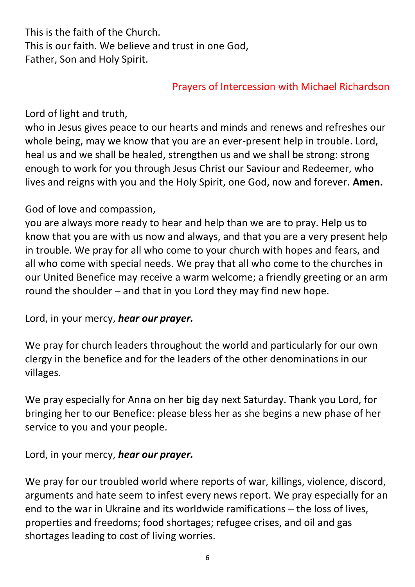This is the faith of the Church. This is our faith. We believe and trust in one God, Father, Son and Holy Spirit.

# Prayers of Intercession with Michael Richardson

Lord of light and truth,

who in Jesus gives peace to our hearts and minds and renews and refreshes our whole being, may we know that you are an ever-present help in trouble. Lord, heal us and we shall be healed, strengthen us and we shall be strong: strong enough to work for you through Jesus Christ our Saviour and Redeemer, who lives and reigns with you and the Holy Spirit, one God, now and forever. **Amen.**

# God of love and compassion,

you are always more ready to hear and help than we are to pray. Help us to know that you are with us now and always, and that you are a very present help in trouble. We pray for all who come to your church with hopes and fears, and all who come with special needs. We pray that all who come to the churches in our United Benefice may receive a warm welcome; a friendly greeting or an arm round the shoulder – and that in you Lord they may find new hope.

Lord, in your mercy, *hear our prayer.*

We pray for church leaders throughout the world and particularly for our own clergy in the benefice and for the leaders of the other denominations in our villages.

We pray especially for Anna on her big day next Saturday. Thank you Lord, for bringing her to our Benefice: please bless her as she begins a new phase of her service to you and your people.

# Lord, in your mercy, *hear our prayer.*

We pray for our troubled world where reports of war, killings, violence, discord, arguments and hate seem to infest every news report. We pray especially for an end to the war in Ukraine and its worldwide ramifications – the loss of lives, properties and freedoms; food shortages; refugee crises, and oil and gas shortages leading to cost of living worries.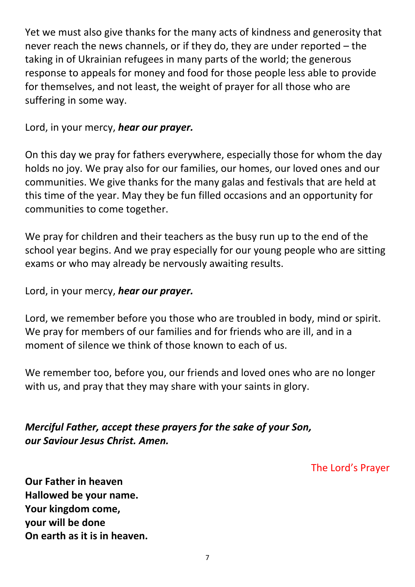Yet we must also give thanks for the many acts of kindness and generosity that never reach the news channels, or if they do, they are under reported – the taking in of Ukrainian refugees in many parts of the world; the generous response to appeals for money and food for those people less able to provide for themselves, and not least, the weight of prayer for all those who are suffering in some way.

Lord, in your mercy, *hear our prayer.*

On this day we pray for fathers everywhere, especially those for whom the day holds no joy. We pray also for our families, our homes, our loved ones and our communities. We give thanks for the many galas and festivals that are held at this time of the year. May they be fun filled occasions and an opportunity for communities to come together.

We pray for children and their teachers as the busy run up to the end of the school year begins. And we pray especially for our young people who are sitting exams or who may already be nervously awaiting results.

Lord, in your mercy, *hear our prayer.*

Lord, we remember before you those who are troubled in body, mind or spirit. We pray for members of our families and for friends who are ill, and in a moment of silence we think of those known to each of us.

We remember too, before you, our friends and loved ones who are no longer with us, and pray that they may share with your saints in glory.

*Merciful Father, accept these prayers for the sake of your Son, our Saviour Jesus Christ. Amen.*

The Lord's Prayer

**Our Father in heaven Hallowed be your name. Your kingdom come, your will be done On earth as it is in heaven.**